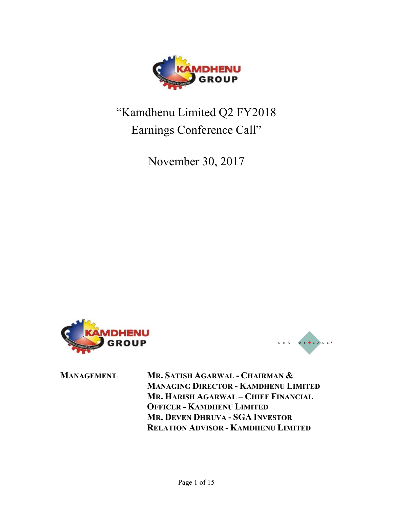

## "Kamdhenu Limited Q2 FY2018 Earnings Conference Call"

November 30, 2017





MANAGEMENT: MR. SATISH AGARWAL - CHAIRMAN & MANAGING DIRECTOR - KAMDHENU LIMITED MR. HARISH AGARWAL – CHIEF FINANCIAL OFFICER - KAMDHENU LIMITED MR. DEVEN DHRUVA - SGA INVESTOR RELATION ADVISOR - KAMDHENU LIMITED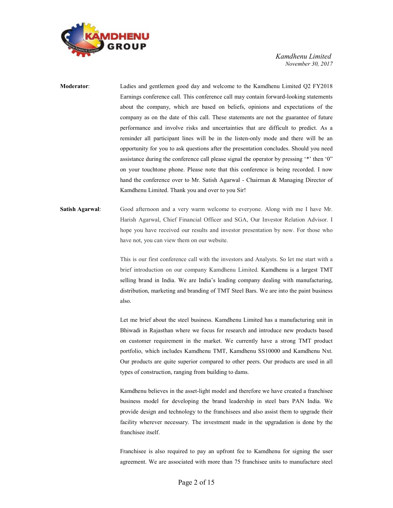

- Moderator: Ladies and gentlemen good day and welcome to the Kamdhenu Limited Q2 FY2018 Earnings conference call. This conference call may contain forward-looking statements about the company, which are based on beliefs, opinions and expectations of the company as on the date of this call. These statements are not the guarantee of future performance and involve risks and uncertainties that are difficult to predict. As a reminder all participant lines will be in the listen-only mode and there will be an opportunity for you to ask questions after the presentation concludes. Should you need assistance during the conference call please signal the operator by pressing '\*' then '0" on your touchtone phone. Please note that this conference is being recorded. I now hand the conference over to Mr. Satish Agarwal - Chairman & Managing Director of Kamdhenu Limited. Thank you and over to you Sir!
- **Satish Agarwal:** Good afternoon and a very warm welcome to everyone. Along with me I have Mr. Harish Agarwal, Chief Financial Officer and SGA, Our Investor Relation Advisor. I hope you have received our results and investor presentation by now. For those who have not, you can view them on our website.

This is our first conference call with the investors and Analysts. So let me start with a brief introduction on our company Kamdhenu Limited. Kamdhenu is a largest TMT selling brand in India. We are India's leading company dealing with manufacturing, distribution, marketing and branding of TMT Steel Bars. We are into the paint business also.

 Let me brief about the steel business. Kamdhenu Limited has a manufacturing unit in Bhiwadi in Rajasthan where we focus for research and introduce new products based on customer requirement in the market. We currently have a strong TMT product portfolio, which includes Kamdhenu TMT, Kamdhenu SS10000 and Kamdhenu Nxt. Our products are quite superior compared to other peers. Our products are used in all types of construction, ranging from building to dams.

 Kamdhenu believes in the asset-light model and therefore we have created a franchisee business model for developing the brand leadership in steel bars PAN India. We provide design and technology to the franchisees and also assist them to upgrade their facility wherever necessary. The investment made in the upgradation is done by the franchisee itself.

 Franchisee is also required to pay an upfront fee to Kamdhenu for signing the user agreement. We are associated with more than 75 franchisee units to manufacture steel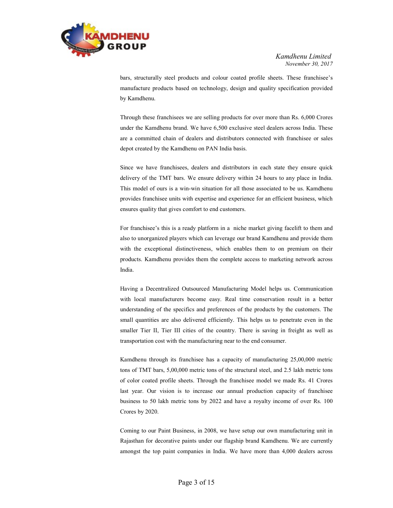

bars, structurally steel products and colour coated profile sheets. These franchisee's manufacture products based on technology, design and quality specification provided by Kamdhenu.

 Through these franchisees we are selling products for over more than Rs. 6,000 Crores under the Kamdhenu brand. We have 6,500 exclusive steel dealers across India. These are a committed chain of dealers and distributors connected with franchisee or sales depot created by the Kamdhenu on PAN India basis.

 Since we have franchisees, dealers and distributors in each state they ensure quick delivery of the TMT bars. We ensure delivery within 24 hours to any place in India. This model of ours is a win-win situation for all those associated to be us. Kamdhenu provides franchisee units with expertise and experience for an efficient business, which ensures quality that gives comfort to end customers.

 For franchisee's this is a ready platform in a niche market giving facelift to them and also to unorganized players which can leverage our brand Kamdhenu and provide them with the exceptional distinctiveness, which enables them to on premium on their products. Kamdhenu provides them the complete access to marketing network across India.

 Having a Decentralized Outsourced Manufacturing Model helps us. Communication with local manufacturers become easy. Real time conservation result in a better understanding of the specifics and preferences of the products by the customers. The small quantities are also delivered efficiently. This helps us to penetrate even in the smaller Tier II, Tier III cities of the country. There is saving in freight as well as transportation cost with the manufacturing near to the end consumer.

 Kamdhenu through its franchisee has a capacity of manufacturing 25,00,000 metric tons of TMT bars, 5,00,000 metric tons of the structural steel, and 2.5 lakh metric tons of color coated profile sheets. Through the franchisee model we made Rs. 41 Crores last year. Our vision is to increase our annual production capacity of franchisee business to 50 lakh metric tons by 2022 and have a royalty income of over Rs. 100 Crores by 2020.

 Coming to our Paint Business, in 2008, we have setup our own manufacturing unit in Rajasthan for decorative paints under our flagship brand Kamdhenu. We are currently amongst the top paint companies in India. We have more than 4,000 dealers across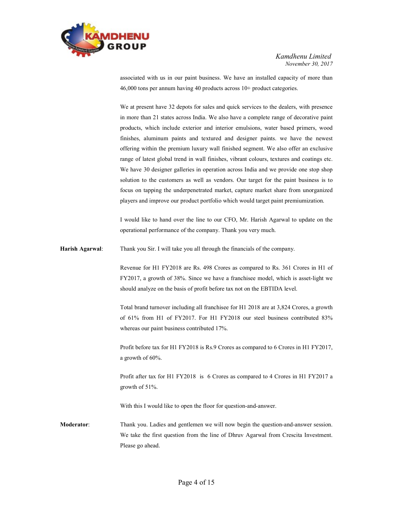

associated with us in our paint business. We have an installed capacity of more than 46,000 tons per annum having 40 products across 10+ product categories.

 We at present have 32 depots for sales and quick services to the dealers, with presence in more than 21 states across India. We also have a complete range of decorative paint products, which include exterior and interior emulsions, water based primers, wood finishes, aluminum paints and textured and designer paints. we have the newest offering within the premium luxury wall finished segment. We also offer an exclusive range of latest global trend in wall finishes, vibrant colours, textures and coatings etc. We have 30 designer galleries in operation across India and we provide one stop shop solution to the customers as well as vendors. Our target for the paint business is to focus on tapping the underpenetrated market, capture market share from unorganized players and improve our product portfolio which would target paint premiumization.

 I would like to hand over the line to our CFO, Mr. Harish Agarwal to update on the operational performance of the company. Thank you very much.

Harish Agarwal: Thank you Sir. I will take you all through the financials of the company.

Revenue for H1 FY2018 are Rs. 498 Crores as compared to Rs. 361 Crores in H1 of FY2017, a growth of 38%. Since we have a franchisee model, which is asset-light we should analyze on the basis of profit before tax not on the EBTIDA level.

Total brand turnover including all franchisee for H1 2018 are at 3,824 Crores, a growth of 61% from H1 of FY2017. For H1 FY2018 our steel business contributed 83% whereas our paint business contributed 17%.

 Profit before tax for H1 FY2018 is Rs.9 Crores as compared to 6 Crores in H1 FY2017, a growth of 60%.

 Profit after tax for H1 FY2018 is 6 Crores as compared to 4 Crores in H1 FY2017 a growth of 51%.

With this I would like to open the floor for question-and-answer.

Moderator: Thank you. Ladies and gentlemen we will now begin the question-and-answer session. We take the first question from the line of Dhruv Agarwal from Crescita Investment. Please go ahead.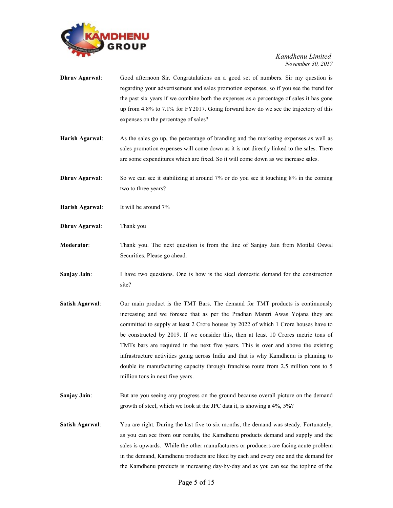

- Dhruv Agarwal: Good afternoon Sir. Congratulations on a good set of numbers. Sir my question is regarding your advertisement and sales promotion expenses, so if you see the trend for the past six years if we combine both the expenses as a percentage of sales it has gone up from 4.8% to 7.1% for FY2017. Going forward how do we see the trajectory of this expenses on the percentage of sales?
- Harish Agarwal: As the sales go up, the percentage of branding and the marketing expenses as well as sales promotion expenses will come down as it is not directly linked to the sales. There are some expenditures which are fixed. So it will come down as we increase sales.
- **Dhruv Agarwal:** So we can see it stabilizing at around 7% or do you see it touching 8% in the coming two to three years?
- Harish Agarwal: It will be around 7%
- Dhruv Agarwal: Thank you
- Moderator: Thank you. The next question is from the line of Sanjay Jain from Motilal Oswal Securities. Please go ahead.
- Sanjay Jain: I have two questions. One is how is the steel domestic demand for the construction site?
- Satish Agarwal: Our main product is the TMT Bars. The demand for TMT products is continuously increasing and we foresee that as per the Pradhan Mantri Awas Yojana they are committed to supply at least 2 Crore houses by 2022 of which 1 Crore houses have to be constructed by 2019. If we consider this, then at least 10 Crores metric tons of TMTs bars are required in the next five years. This is over and above the existing infrastructure activities going across India and that is why Kamdhenu is planning to double its manufacturing capacity through franchise route from 2.5 million tons to 5 million tons in next five years.
- Sanjay Jain: But are you seeing any progress on the ground because overall picture on the demand growth of steel, which we look at the JPC data it, is showing a 4%, 5%?
- Satish Agarwal: You are right. During the last five to six months, the demand was steady. Fortunately, as you can see from our results, the Kamdhenu products demand and supply and the sales is upwards. While the other manufacturers or producers are facing acute problem in the demand, Kamdhenu products are liked by each and every one and the demand for the Kamdhenu products is increasing day-by-day and as you can see the topline of the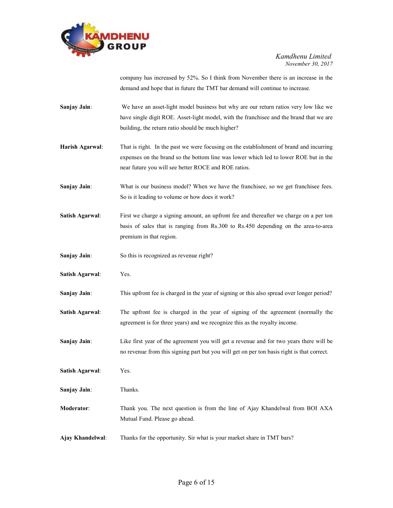

company has increased by 52%. So I think from November there is an increase in the demand and hope that in future the TMT bar demand will continue to increase.

Sanjay Jain: We have an asset-light model business but why are our return ratios very low like we have single digit ROE. Asset-light model, with the franchisee and the brand that we are building, the return ratio should be much higher?

Harish Agarwal: That is right. In the past we were focusing on the establishment of brand and incurring expenses on the brand so the bottom line was lower which led to lower ROE but in the near future you will see better ROCE and ROE ratios.

Sanjay Jain: What is our business model? When we have the franchisee, so we get franchisee fees. So is it leading to volume or how does it work?

- Satish Agarwal: First we charge a signing amount, an upfront fee and thereafter we charge on a per ton basis of sales that is ranging from Rs.300 to Rs.450 depending on the area-to-area premium in that region.
- Sanjay Jain: So this is recognized as revenue right?
- Satish Agarwal: Yes.
- Sanjay Jain: This upfront fee is charged in the year of signing or this also spread over longer period?
- Satish Agarwal: The upfront fee is charged in the year of signing of the agreement (normally the agreement is for three years) and we recognize this as the royalty income.
- Sanjay Jain: Like first year of the agreement you will get a revenue and for two years there will be no revenue from this signing part but you will get on per ton basis right is that correct.
- Satish Agarwal: Yes.
- Sanjay Jain: Thanks.
- Moderator: Thank you. The next question is from the line of Ajay Khandelwal from BOI AXA Mutual Fund. Please go ahead.
- Ajay Khandelwal: Thanks for the opportunity. Sir what is your market share in TMT bars?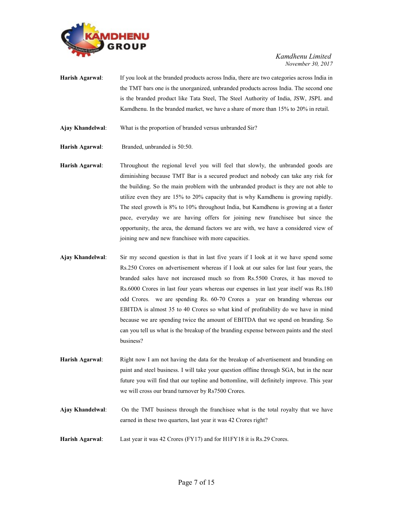

- Harish Agarwal: If you look at the branded products across India, there are two categories across India in the TMT bars one is the unorganized, unbranded products across India. The second one is the branded product like Tata Steel, The Steel Authority of India, JSW, JSPL and Kamdhenu. In the branded market, we have a share of more than 15% to 20% in retail.
- Ajay Khandelwal: What is the proportion of branded versus unbranded Sir?
- Harish Agarwal: Branded, unbranded is 50:50.
- Harish Agarwal: Throughout the regional level you will feel that slowly, the unbranded goods are diminishing because TMT Bar is a secured product and nobody can take any risk for the building. So the main problem with the unbranded product is they are not able to utilize even they are 15% to 20% capacity that is why Kamdhenu is growing rapidly. The steel growth is 8% to 10% throughout India, but Kamdhenu is growing at a faster pace, everyday we are having offers for joining new franchisee but since the opportunity, the area, the demand factors we are with, we have a considered view of joining new and new franchisee with more capacities.
- Ajay Khandelwal: Sir my second question is that in last five years if I look at it we have spend some Rs.250 Crores on advertisement whereas if I look at our sales for last four years, the branded sales have not increased much so from Rs.5500 Crores, it has moved to Rs.6000 Crores in last four years whereas our expenses in last year itself was Rs.180 odd Crores. we are spending Rs. 60-70 Crores a year on branding whereas our EBITDA is almost 35 to 40 Crores so what kind of profitability do we have in mind because we are spending twice the amount of EBITDA that we spend on branding. So can you tell us what is the breakup of the branding expense between paints and the steel business?
- Harish Agarwal: Right now I am not having the data for the breakup of advertisement and branding on paint and steel business. I will take your question offline through SGA, but in the near future you will find that our topline and bottomline, will definitely improve. This year we will cross our brand turnover by Rs7500 Crores.
- Ajay Khandelwal: On the TMT business through the franchisee what is the total royalty that we have earned in these two quarters, last year it was 42 Crores right?
- Harish Agarwal: Last year it was 42 Crores (FY17) and for H1FY18 it is Rs.29 Crores.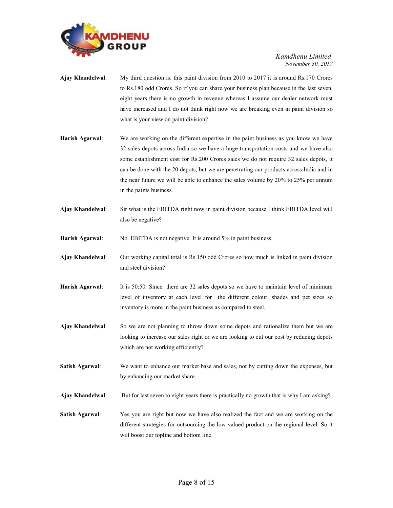

- Ajay Khandelwal: My third question is: this paint division from 2010 to 2017 it is around Rs.170 Crores to Rs.180 odd Crores. So if you can share your business plan because in the last seven, eight years there is no growth in revenue whereas I assume our dealer network must have increased and I do not think right now we are breaking even in paint division so what is your view on paint division?
- Harish Agarwal: We are working on the different expertise in the paint business as you know we have 32 sales depots across India so we have a huge transportation costs and we have also some establishment cost for Rs.200 Crores sales we do not require 32 sales depots, it can be done with the 20 depots, but we are penetrating our products across India and in the near future we will be able to enhance the sales volume by 20% to 25% per annum in the paints business.
- Ajay Khandelwal: Sir what is the EBITDA right now in paint division because I think EBITDA level will also be negative?

Harish Agarwal: No. EBITDA is not negative. It is around 5% in paint business.

- Ajay Khandelwal: Our working capital total is Rs.150 odd Crores so how much is linked in paint division and steel division?
- Harish Agarwal: It is 50:50. Since there are 32 sales depots so we have to maintain level of minimum level of inventory at each level for the different colour, shades and pet sizes so inventory is more in the paint business as compared to steel.
- Ajay Khandelwal: So we are not planning to throw down some depots and rationalize them but we are looking to increase our sales right or we are looking to cut our cost by reducing depots which are not working efficiently?
- Satish Agarwal: We want to enhance our market base and sales, not by cutting down the expenses, but by enhancing our market share.
- Ajay Khandelwal: But for last seven to eight years there is practically no growth that is why I am asking?
- Satish Agarwal: Yes you are right but now we have also realized the fact and we are working on the different strategies for outsourcing the low valued product on the regional level. So it will boost our topline and bottom line.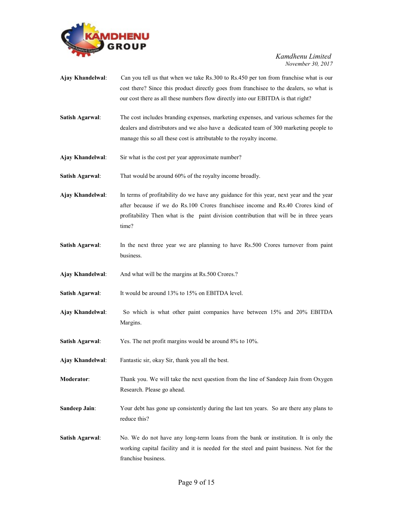

- Ajay Khandelwal: Can you tell us that when we take Rs.300 to Rs.450 per ton from franchise what is our cost there? Since this product directly goes from franchisee to the dealers, so what is our cost there as all these numbers flow directly into our EBITDA is that right?
- Satish Agarwal: The cost includes branding expenses, marketing expenses, and various schemes for the dealers and distributors and we also have a dedicated team of 300 marketing people to manage this so all these cost is attributable to the royalty income.
- Ajay Khandelwal: Sir what is the cost per year approximate number?

Satish Agarwal: That would be around 60% of the royalty income broadly.

Ajay Khandelwal: In terms of profitability do we have any guidance for this year, next year and the year after because if we do Rs.100 Crores franchisee income and Rs.40 Crores kind of profitability Then what is the paint division contribution that will be in three years time?

Satish Agarwal: In the next three year we are planning to have Rs.500 Crores turnover from paint business.

Ajay Khandelwal: And what will be the margins at Rs.500 Crores.?

Satish Agarwal: It would be around 13% to 15% on EBITDA level.

- Ajay Khandelwal: So which is what other paint companies have between 15% and 20% EBITDA Margins.
- Satish Agarwal: Yes. The net profit margins would be around 8% to 10%.

Ajay Khandelwal: Fantastic sir, okay Sir, thank you all the best.

- Moderator: Thank you. We will take the next question from the line of Sandeep Jain from Oxygen Research. Please go ahead.
- Sandeep Jain: Your debt has gone up consistently during the last ten years. So are there any plans to reduce this?
- Satish Agarwal: No. We do not have any long-term loans from the bank or institution. It is only the working capital facility and it is needed for the steel and paint business. Not for the franchise business.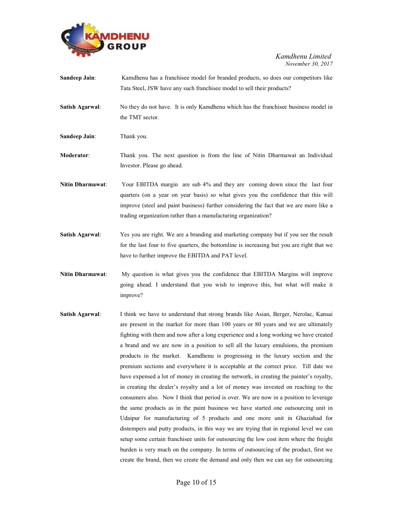

| <b>Sandeep Jain:</b>    | Kamdhenu has a franchise emodel for branded products, so does our competitors like                                                                                                                                                                                                                                            |
|-------------------------|-------------------------------------------------------------------------------------------------------------------------------------------------------------------------------------------------------------------------------------------------------------------------------------------------------------------------------|
|                         | Tata Steel, JSW have any such franchisee model to sell their products?                                                                                                                                                                                                                                                        |
| Satish Agarwal:         | No they do not have. It is only Kamdhenu which has the franchise business model in<br>the TMT sector.                                                                                                                                                                                                                         |
| <b>Sandeep Jain:</b>    | Thank you.                                                                                                                                                                                                                                                                                                                    |
| <b>Moderator:</b>       | Thank you. The next question is from the line of Nitin Dharmawat an Individual<br>Investor. Please go ahead.                                                                                                                                                                                                                  |
| <b>Nitin Dharmawat:</b> | Your EBITDA margin are sub 4% and they are coming down since the last four<br>quarters (on a year on year basis) so what gives you the confidence that this will<br>improve (steel and paint business) further considering the fact that we are more like a<br>trading organization rather than a manufacturing organization? |

- Satish Agarwal: Yes you are right. We are a branding and marketing company but if you see the result for the last four to five quarters, the bottomline is increasing but you are right that we have to further improve the EBITDA and PAT level.
- Nitin Dharmawat: My question is what gives you the confidence that EBITDA Margins will improve going ahead. I understand that you wish to improve this, but what will make it improve?
- Satish Agarwal: I think we have to understand that strong brands like Asian, Berger, Nerolac, Kansai are present in the market for more than 100 years or 80 years and we are ultimately fighting with them and now after a long experience and a long working we have created a brand and we are now in a position to sell all the luxury emulsions, the premium products in the market. Kamdhenu is progressing in the luxury section and the premium sections and everywhere it is acceptable at the correct price. Till date we have expensed a lot of money in creating the network, in creating the painter's royalty, in creating the dealer's royalty and a lot of money was invested on reaching to the consumers also. Now I think that period is over. We are now in a position to leverage the same products as in the paint business we have started one outsourcing unit in Udaipur for manufacturing of 5 products and one more unit in Ghaziabad for distempers and putty products, in this way we are trying that in regional level we can setup some certain franchisee units for outsourcing the low cost item where the freight burden is very much on the company. In terms of outsourcing of the product, first we create the brand, then we create the demand and only then we can say for outsourcing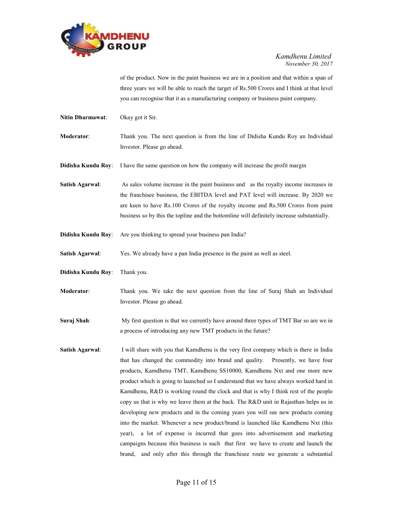

of the product. Now in the paint business we are in a position and that within a span of three years we will be able to reach the target of Rs.500 Crores and I think at that level you can recognise that it as a manufacturing company or business paint company.

Nitin Dharmawat: Okay got it Sir.

Moderator: Thank you. The next question is from the line of Didisha Kundu Roy an Individual Investor. Please go ahead.

**Didisha Kundu Roy:** I have the same question on how the company will increase the profit margin

Satish Agarwal: As sales volume increase in the paint business and as the royalty income increases in the franchisee business, the EBITDA level and PAT level will increase. By 2020 we are keen to have Rs.100 Crores of the royalty income and Rs.500 Crores from paint business so by this the topline and the bottomline will definitely increase substantially.

- Didisha Kundu Roy: Are you thinking to spread your business pan India?
- Satish Agarwal: Yes. We already have a pan India presence in the paint as well as steel.
- Didisha Kundu Roy: Thank you.
- Moderator: Thank you. We take the next question from the line of Suraj Shah an Individual Investor. Please go ahead.

Suraj Shah: My first question is that we currently have around three types of TMT Bar so are we in a process of introducing any new TMT products in the future?

Satish Agarwal: I will share with you that Kamdhenu is the very first company which is there in India that has changed the commodity into brand and quality. Presently, we have four products, Kamdhenu TMT, Kamdhenu SS10000, Kamdhenu Nxt and one more new product which is going to launched so I understand that we have always worked hard in Kamdhenu, R&D is working round the clock and that is why I think rest of the people copy us that is why we leave them at the back. The R&D unit in Rajasthan helps us in developing new products and in the coming years you will see new products coming into the market. Whenever a new product/brand is launched like Kamdhenu Nxt (this year), a lot of expense is incurred that goes into advertisement and marketing campaigns because this business is such that first we have to create and launch the brand, and only after this through the franchisee route we generate a substantial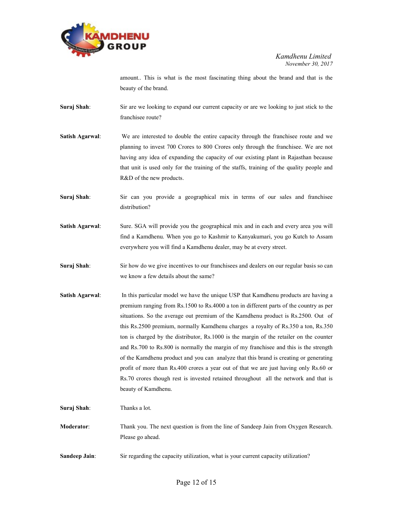

amount.. This is what is the most fascinating thing about the brand and that is the beauty of the brand.

- Suraj Shah: Sir are we looking to expand our current capacity or are we looking to just stick to the franchisee route?
- Satish Agarwal: We are interested to double the entire capacity through the franchisee route and we planning to invest 700 Crores to 800 Crores only through the franchisee. We are not having any idea of expanding the capacity of our existing plant in Rajasthan because that unit is used only for the training of the staffs, training of the quality people and R&D of the new products.
- Suraj Shah: Sir can you provide a geographical mix in terms of our sales and franchisee distribution?
- Satish Agarwal: Sure. SGA will provide you the geographical mix and in each and every area you will find a Kamdhenu. When you go to Kashmir to Kanyakumari, you go Kutch to Assam everywhere you will find a Kamdhenu dealer, may be at every street.
- Suraj Shah: Sir how do we give incentives to our franchisees and dealers on our regular basis so can we know a few details about the same?
- Satish Agarwal: In this particular model we have the unique USP that Kamdhenu products are having a premium ranging from Rs.1500 to Rs.4000 a ton in different parts of the country as per situations. So the average out premium of the Kamdhenu product is Rs.2500. Out of this Rs.2500 premium, normally Kamdhenu charges a royalty of Rs.350 a ton, Rs.350 ton is charged by the distributor, Rs.1000 is the margin of the retailer on the counter and Rs.700 to Rs.800 is normally the margin of my franchisee and this is the strength of the Kamdhenu product and you can analyze that this brand is creating or generating profit of more than Rs.400 crores a year out of that we are just having only Rs.60 or Rs.70 crores though rest is invested retained throughout all the network and that is beauty of Kamdhenu.
- Suraj Shah: Thanks a lot.
- Moderator: Thank you. The next question is from the line of Sandeep Jain from Oxygen Research. Please go ahead.
- Sandeep Jain: Sir regarding the capacity utilization, what is your current capacity utilization?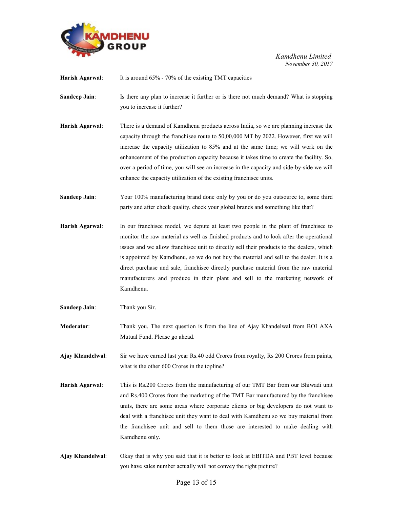

Harish Agarwal: It is around 65% - 70% of the existing TMT capacities

**Sandeep Jain:** Is there any plan to increase it further or is there not much demand? What is stopping you to increase it further?

Harish Agarwal: There is a demand of Kamdhenu products across India, so we are planning increase the capacity through the franchisee route to 50,00,000 MT by 2022. However, first we will increase the capacity utilization to 85% and at the same time; we will work on the enhancement of the production capacity because it takes time to create the facility. So, over a period of time, you will see an increase in the capacity and side-by-side we will enhance the capacity utilization of the existing franchisee units.

Sandeep Jain: Your 100% manufacturing brand done only by you or do you outsource to, some third party and after check quality, check your global brands and something like that?

- Harish Agarwal: In our franchisee model, we depute at least two people in the plant of franchisee to monitor the raw material as well as finished products and to look after the operational issues and we allow franchisee unit to directly sell their products to the dealers, which is appointed by Kamdhenu, so we do not buy the material and sell to the dealer. It is a direct purchase and sale, franchisee directly purchase material from the raw material manufacturers and produce in their plant and sell to the marketing network of Kamdhenu.
- Sandeep Jain: Thank you Sir.
- Moderator: Thank you. The next question is from the line of Ajay Khandelwal from BOI AXA Mutual Fund. Please go ahead.

Ajay Khandelwal: Sir we have earned last year Rs.40 odd Crores from royalty, Rs 200 Crores from paints, what is the other 600 Crores in the topline?

- Harish Agarwal: This is Rs.200 Crores from the manufacturing of our TMT Bar from our Bhiwadi unit and Rs.400 Crores from the marketing of the TMT Bar manufactured by the franchisee units, there are some areas where corporate clients or big developers do not want to deal with a franchisee unit they want to deal with Kamdhenu so we buy material from the franchisee unit and sell to them those are interested to make dealing with Kamdhenu only.
- Ajay Khandelwal: Okay that is why you said that it is better to look at EBITDA and PBT level because you have sales number actually will not convey the right picture?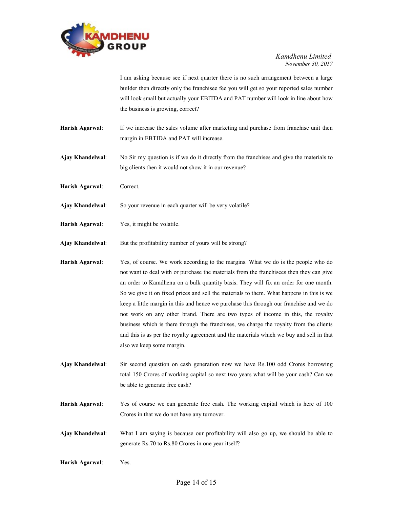

 I am asking because see if next quarter there is no such arrangement between a large builder then directly only the franchisee fee you will get so your reported sales number will look small but actually your EBITDA and PAT number will look in line about how the business is growing, correct?

- Harish Agarwal: If we increase the sales volume after marketing and purchase from franchise unit then margin in EBTIDA and PAT will increase.
- Ajay Khandelwal: No Sir my question is if we do it directly from the franchises and give the materials to big clients then it would not show it in our revenue?
- Harish Agarwal: Correct.
- Ajay Khandelwal: So your revenue in each quarter will be very volatile?
- Harish Agarwal: Yes, it might be volatile.
- Ajay Khandelwal: But the profitability number of yours will be strong?
- Harish Agarwal: Yes, of course. We work according to the margins. What we do is the people who do not want to deal with or purchase the materials from the franchisees then they can give an order to Kamdhenu on a bulk quantity basis. They will fix an order for one month. So we give it on fixed prices and sell the materials to them. What happens in this is we keep a little margin in this and hence we purchase this through our franchise and we do not work on any other brand. There are two types of income in this, the royalty business which is there through the franchises, we charge the royalty from the clients and this is as per the royalty agreement and the materials which we buy and sell in that also we keep some margin.
- Ajay Khandelwal: Sir second question on cash generation now we have Rs.100 odd Crores borrowing total 150 Crores of working capital so next two years what will be your cash? Can we be able to generate free cash?
- Harish Agarwal: Yes of course we can generate free cash. The working capital which is here of 100 Crores in that we do not have any turnover.
- Ajay Khandelwal: What I am saying is because our profitability will also go up, we should be able to generate Rs.70 to Rs.80 Crores in one year itself?
- Harish Agarwal: Yes.